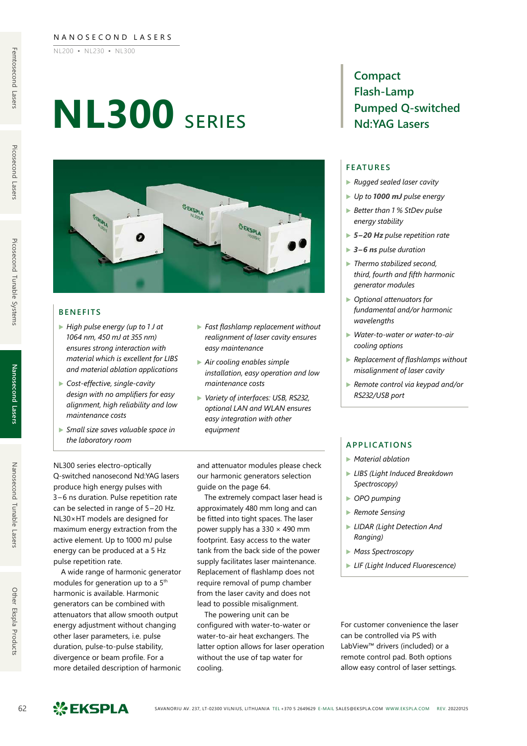#### NANOSECOND LASERS

NL200 ▪ NL230 ▪ NL300

# **NL300** series



#### **BENEFITS**

- ▶ *High pulse energy (up to 1 J at 1064 nm, 450 mJ at 355 nm) ensures strong interaction with material which is excellent for LIBS and material ablation applications*
- ▶ *Cost-effective, single-cavity design with no amplifiers for easy alignment, high reliability and low maintenance costs*
- ▶ *Small size saves valuable space in the laboratory room*
- ▶ *Fast flashlamp replacement without realignment of laser cavity ensures easy maintenance*
- ▶ *Air cooling enables simple installation, easy operation and low maintenance costs*
- ▶ *Variety of interfaces: USB, RS232, optional LAN and WLAN ensures easy integration with other equipment*

NL300 series electro-optically Q-switched nanosecond Nd:YAG lasers produce high energy pulses with 3–6 ns duration. Pulse repetition rate can be selected in range of 5–20 Hz. NL30×HT models are designed for maximum energy extraction from the active element. Up to 1000 mJ pulse energy can be produced at a 5 Hz pulse repetition rate.

A wide range of harmonic generator modules for generation up to a 5<sup>th</sup> harmonic is available. Harmonic generators can be combined with attenuators that allow smooth output energy adjustment without changing other laser parameters, i.e. pulse duration, pulse-to-pulse stability, divergence or beam profile. For a more detailed description of harmonic and attenuator modules please check our harmonic generators selection guide on the page 64.

The extremely compact laser head is approximately 480 mm long and can be fitted into tight spaces. The laser power supply has a  $330 \times 490$  mm footprint. Easy access to the water tank from the back side of the power supply facilitates laser maintenance. Replacement of flashlamp does not require removal of pump chamber from the laser cavity and does not lead to possible misalignment.

The powering unit can be configured with water-to-water or water-to-air heat exchangers. The latter option allows for laser operation without the use of tap water for cooling.

### **Compact Flash-Lamp Pumped Q-switched Nd:YAG Lasers**

#### **FEATURES**

- ▶ *Rugged sealed laser cavity*
- ▶ *Up to 1000 mJ pulse energy*
- ▶ *Better than 1 % StDev pulse energy stability*
- ▶ *5–20 Hz pulse repetition rate*
- ▶ *3–6 ns pulse duration*
- ▶ *Thermo stabilized second, third, fourth and fifth harmonic generator modules*
- ▶ *Optional attenuators for fundamental and/or harmonic wavelengths*
- ▶ *Water-to-water or water-to-air cooling options*
- ▶ *Replacement of flashlamps without misalignment of laser cavity*
- ▶ *Remote control via keypad and/or RS232/USB port*

#### **APPLICATIONS**

- ▶ *Material ablation*
- ▶ *LIBS (Light Induced Breakdown Spectroscopy)*
- ▶ *OPO pumping*
- ▶ *Remote Sensing*
- ▶ *LIDAR (Light Detection And Ranging)*
- ▶ *Mass Spectroscopy*
- ▶ *LIF (Light Induced Fluorescence)*

For customer convenience the laser can be controlled via PS with LabView™ drivers (included) or a remote control pad. Both options allow easy control of laser settings.

Picosecond Lasers

Other Ekspla Products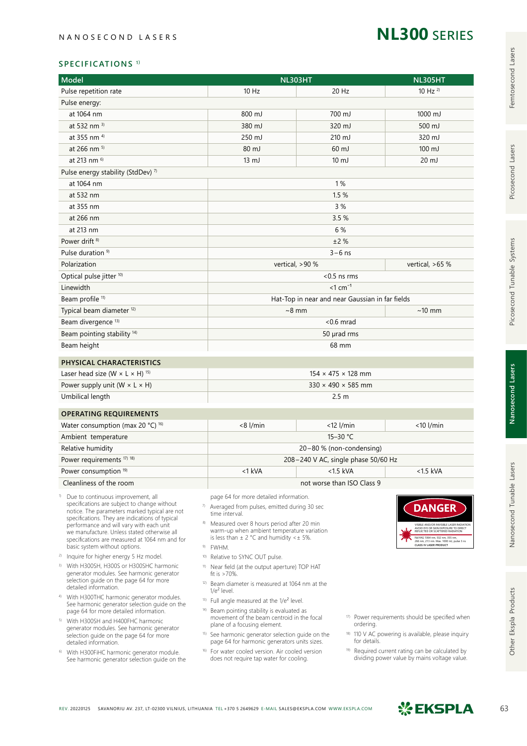# **NL300** series

#### **SPECIFICATIONS 1)**

| <b>Model</b>                                                                                                                                                                                                                                                                                                                                                                       | <b>NL303HT</b>                                                                                                                                                                                                                                                                                                                                                                                                                                                                                                                | <b>NL305HT</b>                                                                      |                                                             |  |  |  |  |
|------------------------------------------------------------------------------------------------------------------------------------------------------------------------------------------------------------------------------------------------------------------------------------------------------------------------------------------------------------------------------------|-------------------------------------------------------------------------------------------------------------------------------------------------------------------------------------------------------------------------------------------------------------------------------------------------------------------------------------------------------------------------------------------------------------------------------------------------------------------------------------------------------------------------------|-------------------------------------------------------------------------------------|-------------------------------------------------------------|--|--|--|--|
| Pulse repetition rate                                                                                                                                                                                                                                                                                                                                                              | $10$ Hz                                                                                                                                                                                                                                                                                                                                                                                                                                                                                                                       | 20 Hz                                                                               | $10$ Hz $^{2)}$                                             |  |  |  |  |
| Pulse energy:                                                                                                                                                                                                                                                                                                                                                                      |                                                                                                                                                                                                                                                                                                                                                                                                                                                                                                                               |                                                                                     |                                                             |  |  |  |  |
| at 1064 nm                                                                                                                                                                                                                                                                                                                                                                         | 800 mJ                                                                                                                                                                                                                                                                                                                                                                                                                                                                                                                        | 700 mJ                                                                              | 1000 mJ                                                     |  |  |  |  |
| at 532 nm $^{3)}$                                                                                                                                                                                                                                                                                                                                                                  | 380 mJ                                                                                                                                                                                                                                                                                                                                                                                                                                                                                                                        | 320 mJ                                                                              | 500 mJ                                                      |  |  |  |  |
| at 355 nm <sup>4)</sup>                                                                                                                                                                                                                                                                                                                                                            | 250 mJ                                                                                                                                                                                                                                                                                                                                                                                                                                                                                                                        | 210 mJ                                                                              | 320 mJ                                                      |  |  |  |  |
| at 266 nm <sup>5)</sup>                                                                                                                                                                                                                                                                                                                                                            | 80 mJ                                                                                                                                                                                                                                                                                                                                                                                                                                                                                                                         | 60 mJ                                                                               | 100 mJ                                                      |  |  |  |  |
| at 213 nm 6)                                                                                                                                                                                                                                                                                                                                                                       | $13 \text{ mJ}$                                                                                                                                                                                                                                                                                                                                                                                                                                                                                                               | $10 \mathrm{mJ}$                                                                    | $20 \mathrm{mJ}$                                            |  |  |  |  |
| Pulse energy stability (StdDev) 7)                                                                                                                                                                                                                                                                                                                                                 |                                                                                                                                                                                                                                                                                                                                                                                                                                                                                                                               |                                                                                     |                                                             |  |  |  |  |
| at 1064 nm                                                                                                                                                                                                                                                                                                                                                                         | 1%                                                                                                                                                                                                                                                                                                                                                                                                                                                                                                                            |                                                                                     |                                                             |  |  |  |  |
| at 532 nm                                                                                                                                                                                                                                                                                                                                                                          | 1.5 %                                                                                                                                                                                                                                                                                                                                                                                                                                                                                                                         |                                                                                     |                                                             |  |  |  |  |
| at 355 nm                                                                                                                                                                                                                                                                                                                                                                          | 3 %                                                                                                                                                                                                                                                                                                                                                                                                                                                                                                                           |                                                                                     |                                                             |  |  |  |  |
| at 266 nm                                                                                                                                                                                                                                                                                                                                                                          |                                                                                                                                                                                                                                                                                                                                                                                                                                                                                                                               | 3.5 %                                                                               |                                                             |  |  |  |  |
| at 213 nm                                                                                                                                                                                                                                                                                                                                                                          |                                                                                                                                                                                                                                                                                                                                                                                                                                                                                                                               | 6 %                                                                                 |                                                             |  |  |  |  |
| Power drift <sup>8)</sup>                                                                                                                                                                                                                                                                                                                                                          |                                                                                                                                                                                                                                                                                                                                                                                                                                                                                                                               | ±2%                                                                                 |                                                             |  |  |  |  |
| Pulse duration <sup>9)</sup>                                                                                                                                                                                                                                                                                                                                                       |                                                                                                                                                                                                                                                                                                                                                                                                                                                                                                                               | $3-6$ ns                                                                            |                                                             |  |  |  |  |
| Polarization                                                                                                                                                                                                                                                                                                                                                                       |                                                                                                                                                                                                                                                                                                                                                                                                                                                                                                                               | vertical, >90 %                                                                     | vertical, $>65$ %                                           |  |  |  |  |
| Optical pulse jitter <sup>10)</sup>                                                                                                                                                                                                                                                                                                                                                |                                                                                                                                                                                                                                                                                                                                                                                                                                                                                                                               | $< 0.5$ ns rms                                                                      |                                                             |  |  |  |  |
| Linewidth                                                                                                                                                                                                                                                                                                                                                                          |                                                                                                                                                                                                                                                                                                                                                                                                                                                                                                                               | $<1$ cm <sup>-1</sup>                                                               |                                                             |  |  |  |  |
| Beam profile <sup>11)</sup>                                                                                                                                                                                                                                                                                                                                                        |                                                                                                                                                                                                                                                                                                                                                                                                                                                                                                                               | Hat-Top in near and near Gaussian in far fields                                     |                                                             |  |  |  |  |
| Typical beam diameter <sup>12)</sup>                                                                                                                                                                                                                                                                                                                                               |                                                                                                                                                                                                                                                                                                                                                                                                                                                                                                                               | $~8$ mm                                                                             | $~10$ mm                                                    |  |  |  |  |
| Beam divergence <sup>13)</sup>                                                                                                                                                                                                                                                                                                                                                     |                                                                                                                                                                                                                                                                                                                                                                                                                                                                                                                               | $< 0.6$ mrad                                                                        |                                                             |  |  |  |  |
| Beam pointing stability <sup>14)</sup>                                                                                                                                                                                                                                                                                                                                             |                                                                                                                                                                                                                                                                                                                                                                                                                                                                                                                               | 50 µrad rms                                                                         |                                                             |  |  |  |  |
| Beam height                                                                                                                                                                                                                                                                                                                                                                        |                                                                                                                                                                                                                                                                                                                                                                                                                                                                                                                               | 68 mm                                                                               |                                                             |  |  |  |  |
|                                                                                                                                                                                                                                                                                                                                                                                    |                                                                                                                                                                                                                                                                                                                                                                                                                                                                                                                               |                                                                                     |                                                             |  |  |  |  |
| PHYSICAL CHARACTERISTICS                                                                                                                                                                                                                                                                                                                                                           |                                                                                                                                                                                                                                                                                                                                                                                                                                                                                                                               |                                                                                     |                                                             |  |  |  |  |
| Laser head size (W $\times$ L $\times$ H) <sup>15)</sup>                                                                                                                                                                                                                                                                                                                           | $154 \times 475 \times 128$ mm                                                                                                                                                                                                                                                                                                                                                                                                                                                                                                |                                                                                     |                                                             |  |  |  |  |
| Power supply unit (W $\times$ L $\times$ H)                                                                                                                                                                                                                                                                                                                                        |                                                                                                                                                                                                                                                                                                                                                                                                                                                                                                                               | $330 \times 490 \times 585$ mm                                                      |                                                             |  |  |  |  |
| Umbilical length                                                                                                                                                                                                                                                                                                                                                                   |                                                                                                                                                                                                                                                                                                                                                                                                                                                                                                                               | 2.5 <sub>m</sub>                                                                    |                                                             |  |  |  |  |
| <b>OPERATING REQUIREMENTS</b>                                                                                                                                                                                                                                                                                                                                                      |                                                                                                                                                                                                                                                                                                                                                                                                                                                                                                                               |                                                                                     |                                                             |  |  |  |  |
| Water consumption (max 20 °C) <sup>16)</sup>                                                                                                                                                                                                                                                                                                                                       | $<8$ l/min                                                                                                                                                                                                                                                                                                                                                                                                                                                                                                                    | $<$ 12 l/min                                                                        | $<$ 10 l/min                                                |  |  |  |  |
| Ambient temperature                                                                                                                                                                                                                                                                                                                                                                |                                                                                                                                                                                                                                                                                                                                                                                                                                                                                                                               | 15-30 °C                                                                            |                                                             |  |  |  |  |
| Relative humidity                                                                                                                                                                                                                                                                                                                                                                  |                                                                                                                                                                                                                                                                                                                                                                                                                                                                                                                               | 20-80 % (non-condensing)                                                            |                                                             |  |  |  |  |
| Power requirements <sup>17)</sup> <sup>18)</sup>                                                                                                                                                                                                                                                                                                                                   | 208-240 V AC, single phase 50/60 Hz                                                                                                                                                                                                                                                                                                                                                                                                                                                                                           |                                                                                     |                                                             |  |  |  |  |
| Power consumption <sup>19)</sup>                                                                                                                                                                                                                                                                                                                                                   | <1 kVA                                                                                                                                                                                                                                                                                                                                                                                                                                                                                                                        | $<1.5$ kVA                                                                          | $<1.5$ kVA                                                  |  |  |  |  |
| Cleanliness of the room                                                                                                                                                                                                                                                                                                                                                            |                                                                                                                                                                                                                                                                                                                                                                                                                                                                                                                               | not worse than ISO Class 9                                                          |                                                             |  |  |  |  |
| <sup>1)</sup> Due to continuous improvement, all<br>specifications are subject to change without<br>notice. The parameters marked typical are not<br>specifications. They are indications of typical<br>performance and will vary with each unit<br>we manufacture. Unless stated otherwise all<br>specifications are measured at 1064 nm and for<br>basic system without options. | page 64 for more detailed information.<br><b>DANGER</b><br>7) Averaged from pulses, emitted during 30 sec<br>time interval.<br>8)<br>Measured over 8 hours period after 20 min<br>VISIBLE AND/OR INVISIBLE LASER RADIATION<br>AVOID EYE OR SKIN EXPOSURE TO DIRECT REFLECTED OR SCATTERED RADIATION<br>warm-up when ambient temperature variation<br>is less than $\pm$ 2 °C and humidity < $\pm$ 5%.<br>Nd:YAG 1064 nm, 532 nm, 355 nm,<br>266 nm, 213 nm. Max. 1000 mJ, pulse 3 ns<br>CLASS IV LASER PRODUCT<br>9)<br>FWHM. |                                                                                     |                                                             |  |  |  |  |
| <sup>2)</sup> Inquire for higher energy 5 Hz model.                                                                                                                                                                                                                                                                                                                                | Relative to SYNC OUT pulse.<br>10)                                                                                                                                                                                                                                                                                                                                                                                                                                                                                            |                                                                                     |                                                             |  |  |  |  |
| <sup>3)</sup> With H300SH, H300S or H300SHC harmonic                                                                                                                                                                                                                                                                                                                               | <sup>11)</sup> Near field (at the output aperture) TOP HAT                                                                                                                                                                                                                                                                                                                                                                                                                                                                    |                                                                                     |                                                             |  |  |  |  |
| generator modules. See harmonic generator<br>selection quide on the page 64 for more<br>detailed information.                                                                                                                                                                                                                                                                      | fit is $>70\%$ .                                                                                                                                                                                                                                                                                                                                                                                                                                                                                                              | <sup>12)</sup> Beam diameter is measured at 1064 nm at the                          |                                                             |  |  |  |  |
| 4) With H300THC harmonic generator modules.<br>See harmonic generator selection guide on the<br>page 64 for more detailed information.                                                                                                                                                                                                                                             | <sup>14)</sup> Beam pointing stability is evaluated as                                                                                                                                                                                                                                                                                                                                                                                                                                                                        | $1/e^2$ level.<br><sup>13)</sup> Full angle measured at the 1/e <sup>2</sup> level. |                                                             |  |  |  |  |
| <sup>5)</sup> With H300SH and H400FHC harmonic<br>generator modules. See harmonic generator<br>selection quide on the page 64 for more<br>detailed information.                                                                                                                                                                                                                    | movement of the beam centroid in the focal<br><sup>17)</sup> Power requirements should be specified when<br>plane of a focusing element.<br>ordering.<br>18) 110 V AC powering is available, please inquiry<br><sup>15)</sup> See harmonic generator selection guide on the<br>for details.<br>page 64 for harmonic generators units sizes.                                                                                                                                                                                   |                                                                                     |                                                             |  |  |  |  |
| <sup>6)</sup> With H300FiHC harmonic generator module.                                                                                                                                                                                                                                                                                                                             | <sup>16)</sup> For water cooled version. Air cooled version                                                                                                                                                                                                                                                                                                                                                                                                                                                                   |                                                                                     | <sup>19)</sup> Required current rating can be calculated by |  |  |  |  |

6) With H300FiHC harmonic generator module. See harmonic generator selection guide on the <sup>19)</sup> Required current rating can be calculated by dividing power value by mains voltage value.

does not require tap water for cooling.

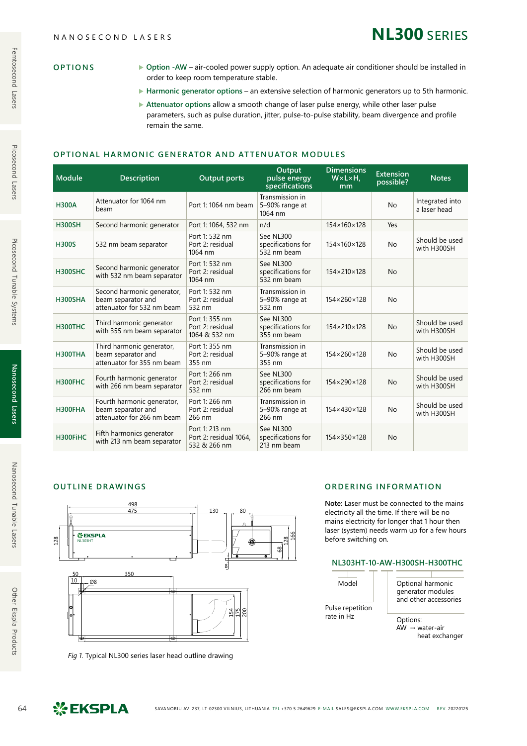| <b>OPTIONS</b> |
|----------------|
|----------------|

- ▶ Option -AW air-cooled power supply option. An adequate air conditioner should be installed in order to keep room temperature stable.
- ▶ Harmonic generator options an extensive selection of harmonic generators up to 5th harmonic.
- ▶ Attenuator options allow a smooth change of laser pulse energy, while other laser pulse parameters, such as pulse duration, jitter, pulse-to-pulse stability, beam divergence and profile remain the same.

#### **OPTIONAL HARMONIC GENERATOR AND ATTENUATOR MODULES**

| Module         | <b>Description</b>                                                             | <b>Output ports</b>                                      | Output<br>pulse energy<br>specifications       | <b>Dimensions</b><br>W×L×H.<br>mm | <b>Extension</b><br>possible? | <b>Notes</b>                    |
|----------------|--------------------------------------------------------------------------------|----------------------------------------------------------|------------------------------------------------|-----------------------------------|-------------------------------|---------------------------------|
| <b>H300A</b>   | Attenuator for 1064 nm<br>beam                                                 | Port 1: 1064 nm beam                                     | Transmission in<br>5-90% range at<br>1064 nm   |                                   | <b>No</b>                     | Integrated into<br>a laser head |
| <b>H300SH</b>  | Second harmonic generator                                                      | Port 1: 1064, 532 nm                                     | n/d                                            | 154×160×128                       | Yes                           |                                 |
| <b>H300S</b>   | 532 nm beam separator                                                          | Port 1: 532 nm<br>Port 2: residual<br>1064 nm            | See NL300<br>specifications for<br>532 nm beam | 154×160×128                       | <b>No</b>                     | Should be used<br>with H300SH   |
| <b>H300SHC</b> | Second harmonic generator<br>with 532 nm beam separator                        | Port 1: 532 nm<br>Port 2: residual<br>1064 nm            | See NL300<br>specifications for<br>532 nm beam | 154×210×128                       | <b>No</b>                     |                                 |
| <b>H300SHA</b> | Second harmonic generator,<br>beam separator and<br>attenuator for 532 nm beam | Port 1: 532 nm<br>Port 2: residual<br>532 nm             | Transmission in<br>5-90% range at<br>532 nm    | 154×260×128                       | <b>No</b>                     |                                 |
| H300THC        | Third harmonic generator<br>with 355 nm beam separator                         | Port 1: 355 nm<br>Port 2: residual<br>1064 & 532 nm      | See NL300<br>specifications for<br>355 nm beam | 154×210×128                       | <b>No</b>                     | Should be used<br>with H300SH   |
| <b>H300THA</b> | Third harmonic generator,<br>beam separator and<br>attenuator for 355 nm beam  | Port 1: 355 nm<br>Port 2: residual<br>355 nm             | Transmission in<br>5-90% range at<br>355 nm    | 154×260×128                       | No                            | Should be used<br>with H300SH   |
| H300FHC        | Fourth harmonic generator<br>with 266 nm beam separator                        | Port 1: 266 nm<br>Port 2: residual<br>532 nm             | See NL300<br>specifications for<br>266 nm beam | 154×290×128                       | <b>No</b>                     | Should be used<br>with H300SH   |
| H300FHA        | Fourth harmonic generator,<br>beam separator and<br>attenuator for 266 nm beam | Port 1: 266 nm<br>Port 2: residual<br>266 nm             | Transmission in<br>5-90% range at<br>266 nm    | 154×430×128                       | <b>No</b>                     | Should be used<br>with H300SH   |
| H300FiHC       | Fifth harmonics generator<br>with 213 nm beam separator                        | Port 1: 213 nm<br>Port 2: residual 1064,<br>532 & 266 nm | See NL300<br>specifications for<br>213 nm beam | 154×350×128                       | <b>No</b>                     |                                 |

#### **OUTLINE DRAWINGS**



*Fig 1.* Typical NL300 series laser head outline drawing

#### **ORDERING INFORMATION**

**Note:** Laser must be connected to the mains electricity all the time. If there will be no mains electricity for longer that 1 hour then laser (system) needs warm up for a few hours before switching on.

#### **NL303HT-10-AW-H300SH-H300THC**



generator modules and other accessories

Options:  $AW \rightarrow water-air$ heat exchanger

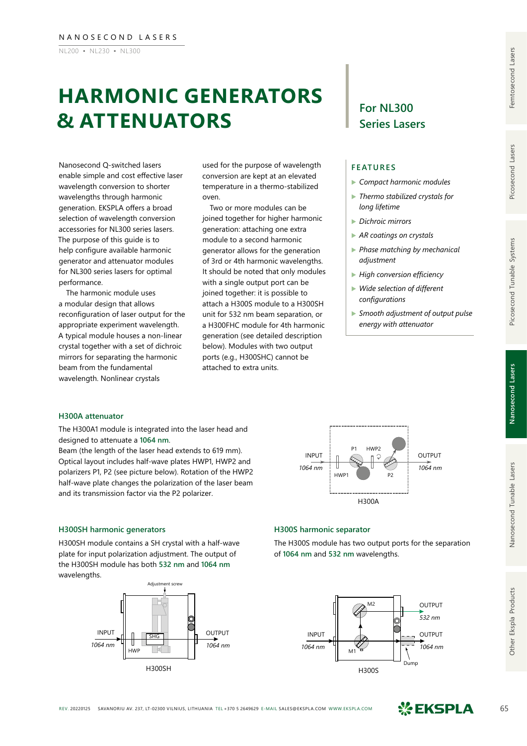NL200 ▪ NL230 ▪ NL300

# **HARMONIC GENERATORS & ATTENUATORS**

Nanosecond Q-switched lasers enable simple and cost effective laser wavelength conversion to shorter wavelengths through harmonic generation. EKSPLA offers a broad selection of wavelength conversion accessories for NL300 series lasers. The purpose of this guide is to help configure available harmonic generator and attenuator modules for NL300 series lasers for optimal performance.

The harmonic module uses a modular design that allows reconfiguration of laser output for the appropriate experiment wavelength. A typical module houses a non‑linear crystal together with a set of dichroic mirrors for separating the harmonic beam from the fundamental wavelength. Nonlinear crystals

used for the purpose of wavelength conversion are kept at an elevated temperature in a thermo-stabilized oven.

Two or more modules can be joined together for higher harmonic generation: attaching one extra module to a second harmonic generator allows for the generation of 3rd or 4th harmonic wavelengths. It should be noted that only modules with a single output port can be joined together: it is possible to attach a H300S module to a H300SH unit for 532 nm beam separation, or a H300FHC module for 4th harmonic generation (see detailed description below). Modules with two output ports (e.g., H300SHC) cannot be attached to extra units.

## **For NL300 Series Lasers**

#### **FEATURES**

- ▶ *Compact harmonic modules*
- ▶ *Thermo stabilized crystals for long lifetime*
- ▶ *Dichroic mirrors*
- ▶ *AR coatings on crystals*
- ▶ *Phase matching by mechanical adjustment*
- ▶ *High conversion efficiency*
- ▶ *Wide selection of different configurations*
- ▶ *Smooth adjustment of output pulse energy with attenuator*

#### **H300A attenuator**

The H300A1 module is integrated into the laser head and designed to attenuate a **1064 nm**.

Beam (the length of the laser head extends to 619 mm). Optical layout includes half-wave plates HWP1, HWP2 and polarizers P1, P2 (see picture below). Rotation of the HWP2 half-wave plate changes the polarization of the laser beam and its transmission factor via the P2 polarizer.



#### **H300SH harmonic generators**

H300SH module contains a SH crystal with a half-wave plate for input polarization adjustment. The output of the H300SH module has both **532 nm** and **1064 nm** wavelengths.



#### **H300S harmonic separator**

The H300S module has two output ports for the separation of **1064 nm** and **532 nm** wavelengths.





Other Ekspla Products